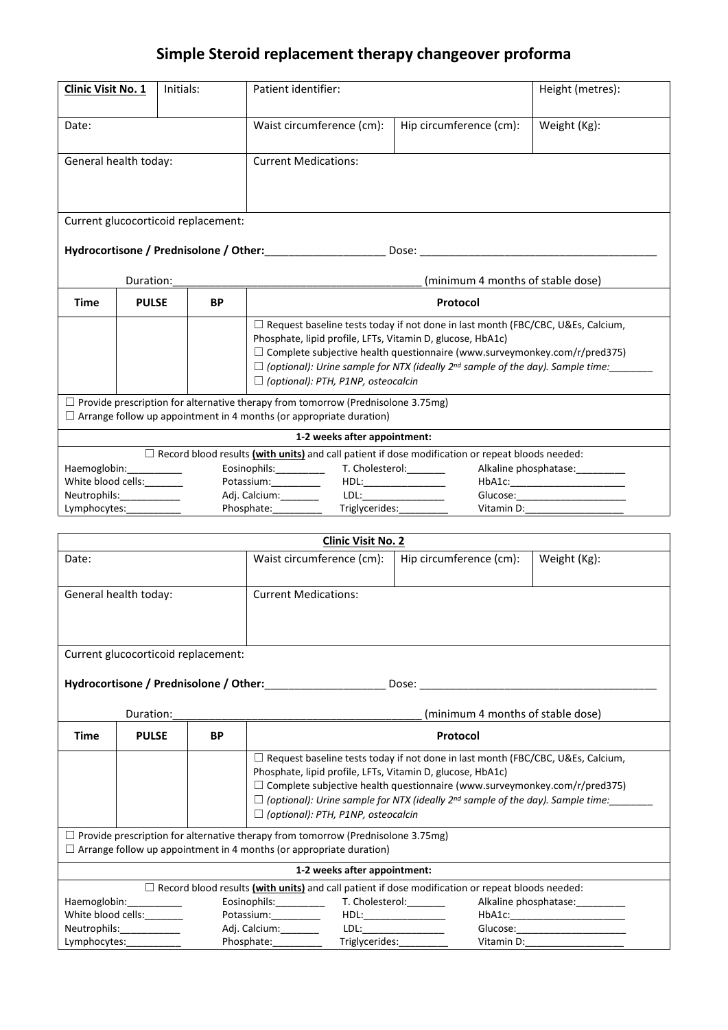## **Simple Steroid replacement therapy changeover proforma**

| Clinic Visit No. 1                                                                                                                                                    |                                                                                                   | Initials: |           | Patient identifier:                                                                                                                                  |                                                                                                                                                                                                                                                                                                                                                                                                                                                                                                                                                                                                                                  | Height (metres):                  |  |
|-----------------------------------------------------------------------------------------------------------------------------------------------------------------------|---------------------------------------------------------------------------------------------------|-----------|-----------|------------------------------------------------------------------------------------------------------------------------------------------------------|----------------------------------------------------------------------------------------------------------------------------------------------------------------------------------------------------------------------------------------------------------------------------------------------------------------------------------------------------------------------------------------------------------------------------------------------------------------------------------------------------------------------------------------------------------------------------------------------------------------------------------|-----------------------------------|--|
| Date:                                                                                                                                                                 |                                                                                                   |           |           | Waist circumference (cm):                                                                                                                            | Hip circumference (cm):                                                                                                                                                                                                                                                                                                                                                                                                                                                                                                                                                                                                          | Weight (Kg):                      |  |
|                                                                                                                                                                       |                                                                                                   |           |           | <b>Current Medications:</b>                                                                                                                          |                                                                                                                                                                                                                                                                                                                                                                                                                                                                                                                                                                                                                                  |                                   |  |
| General health today:                                                                                                                                                 |                                                                                                   |           |           |                                                                                                                                                      |                                                                                                                                                                                                                                                                                                                                                                                                                                                                                                                                                                                                                                  |                                   |  |
| Current glucocorticoid replacement:                                                                                                                                   |                                                                                                   |           |           |                                                                                                                                                      |                                                                                                                                                                                                                                                                                                                                                                                                                                                                                                                                                                                                                                  |                                   |  |
|                                                                                                                                                                       |                                                                                                   |           |           |                                                                                                                                                      |                                                                                                                                                                                                                                                                                                                                                                                                                                                                                                                                                                                                                                  |                                   |  |
| Duration:                                                                                                                                                             |                                                                                                   |           |           | (minimum 4 months of stable dose)                                                                                                                    |                                                                                                                                                                                                                                                                                                                                                                                                                                                                                                                                                                                                                                  |                                   |  |
| <b>BP</b><br>Time<br><b>PULSE</b>                                                                                                                                     |                                                                                                   |           |           | Protocol                                                                                                                                             |                                                                                                                                                                                                                                                                                                                                                                                                                                                                                                                                                                                                                                  |                                   |  |
|                                                                                                                                                                       |                                                                                                   |           |           |                                                                                                                                                      |                                                                                                                                                                                                                                                                                                                                                                                                                                                                                                                                                                                                                                  |                                   |  |
|                                                                                                                                                                       |                                                                                                   |           |           | $\Box$ Request baseline tests today if not done in last month (FBC/CBC, U&Es, Calcium,<br>Phosphate, lipid profile, LFTs, Vitamin D, glucose, HbA1c) |                                                                                                                                                                                                                                                                                                                                                                                                                                                                                                                                                                                                                                  |                                   |  |
|                                                                                                                                                                       | $\Box$ Complete subjective health questionnaire (www.surveymonkey.com/r/pred375)                  |           |           |                                                                                                                                                      |                                                                                                                                                                                                                                                                                                                                                                                                                                                                                                                                                                                                                                  |                                   |  |
|                                                                                                                                                                       |                                                                                                   |           |           | $\Box$ (optional): Urine sample for NTX (ideally 2 <sup>nd</sup> sample of the day). Sample time:                                                    |                                                                                                                                                                                                                                                                                                                                                                                                                                                                                                                                                                                                                                  |                                   |  |
|                                                                                                                                                                       | $\Box$ (optional): PTH, P1NP, osteocalcin                                                         |           |           |                                                                                                                                                      |                                                                                                                                                                                                                                                                                                                                                                                                                                                                                                                                                                                                                                  |                                   |  |
| $\Box$ Provide prescription for alternative therapy from tomorrow (Prednisolone 3.75mg)<br>$\Box$ Arrange follow up appointment in 4 months (or appropriate duration) |                                                                                                   |           |           |                                                                                                                                                      |                                                                                                                                                                                                                                                                                                                                                                                                                                                                                                                                                                                                                                  |                                   |  |
| 1-2 weeks after appointment:                                                                                                                                          |                                                                                                   |           |           |                                                                                                                                                      |                                                                                                                                                                                                                                                                                                                                                                                                                                                                                                                                                                                                                                  |                                   |  |
| $\Box$ Record blood results (with units) and call patient if dose modification or repeat bloods needed:                                                               |                                                                                                   |           |           |                                                                                                                                                      |                                                                                                                                                                                                                                                                                                                                                                                                                                                                                                                                                                                                                                  |                                   |  |
| Haemoglobin: Haemoglobin:<br>Alkaline phosphatase:                                                                                                                    |                                                                                                   |           |           |                                                                                                                                                      |                                                                                                                                                                                                                                                                                                                                                                                                                                                                                                                                                                                                                                  |                                   |  |
| White blood cells:________                                                                                                                                            |                                                                                                   |           |           | Potassium:__________<br>HDL:                                                                                                                         |                                                                                                                                                                                                                                                                                                                                                                                                                                                                                                                                                                                                                                  |                                   |  |
| Neutrophils:<br>$\mathcal{L} = \mathcal{L} \times \mathcal{L}$                                                                                                        |                                                                                                   |           |           | Adj. Calcium: __________ LDL: _______________<br>Glucose:_________________________<br>Triglycerides:_____<br>Vitamin D:                              |                                                                                                                                                                                                                                                                                                                                                                                                                                                                                                                                                                                                                                  |                                   |  |
| Lymphocytes:<br>Phosphate:__________                                                                                                                                  |                                                                                                   |           |           |                                                                                                                                                      |                                                                                                                                                                                                                                                                                                                                                                                                                                                                                                                                                                                                                                  |                                   |  |
| <b>Clinic Visit No. 2</b>                                                                                                                                             |                                                                                                   |           |           |                                                                                                                                                      |                                                                                                                                                                                                                                                                                                                                                                                                                                                                                                                                                                                                                                  |                                   |  |
| Date:                                                                                                                                                                 |                                                                                                   |           |           | Waist circumference (cm):                                                                                                                            | Hip circumference (cm):                                                                                                                                                                                                                                                                                                                                                                                                                                                                                                                                                                                                          | Weight (Kg):                      |  |
|                                                                                                                                                                       |                                                                                                   |           |           |                                                                                                                                                      |                                                                                                                                                                                                                                                                                                                                                                                                                                                                                                                                                                                                                                  |                                   |  |
| General health today:                                                                                                                                                 |                                                                                                   |           |           | <b>Current Medications:</b>                                                                                                                          |                                                                                                                                                                                                                                                                                                                                                                                                                                                                                                                                                                                                                                  |                                   |  |
|                                                                                                                                                                       |                                                                                                   |           |           |                                                                                                                                                      |                                                                                                                                                                                                                                                                                                                                                                                                                                                                                                                                                                                                                                  |                                   |  |
|                                                                                                                                                                       |                                                                                                   |           |           |                                                                                                                                                      |                                                                                                                                                                                                                                                                                                                                                                                                                                                                                                                                                                                                                                  |                                   |  |
| Current glucocorticoid replacement:                                                                                                                                   |                                                                                                   |           |           |                                                                                                                                                      |                                                                                                                                                                                                                                                                                                                                                                                                                                                                                                                                                                                                                                  |                                   |  |
|                                                                                                                                                                       |                                                                                                   |           |           |                                                                                                                                                      |                                                                                                                                                                                                                                                                                                                                                                                                                                                                                                                                                                                                                                  |                                   |  |
|                                                                                                                                                                       |                                                                                                   |           |           |                                                                                                                                                      |                                                                                                                                                                                                                                                                                                                                                                                                                                                                                                                                                                                                                                  |                                   |  |
| Duration:<br>(minimum 4 months of stable dose)                                                                                                                        |                                                                                                   |           |           |                                                                                                                                                      |                                                                                                                                                                                                                                                                                                                                                                                                                                                                                                                                                                                                                                  |                                   |  |
| Time                                                                                                                                                                  | <b>PULSE</b>                                                                                      |           | <b>BP</b> | <b>Protocol</b>                                                                                                                                      |                                                                                                                                                                                                                                                                                                                                                                                                                                                                                                                                                                                                                                  |                                   |  |
|                                                                                                                                                                       |                                                                                                   |           |           | □ Request baseline tests today if not done in last month (FBC/CBC, U&Es, Calcium,                                                                    |                                                                                                                                                                                                                                                                                                                                                                                                                                                                                                                                                                                                                                  |                                   |  |
|                                                                                                                                                                       |                                                                                                   |           |           | Phosphate, lipid profile, LFTs, Vitamin D, glucose, HbA1c)                                                                                           |                                                                                                                                                                                                                                                                                                                                                                                                                                                                                                                                                                                                                                  |                                   |  |
|                                                                                                                                                                       |                                                                                                   |           |           | $\Box$ Complete subjective health questionnaire (www.surveymonkey.com/r/pred375)                                                                     |                                                                                                                                                                                                                                                                                                                                                                                                                                                                                                                                                                                                                                  |                                   |  |
|                                                                                                                                                                       | $\Box$ (optional): Urine sample for NTX (ideally 2 <sup>nd</sup> sample of the day). Sample time: |           |           |                                                                                                                                                      |                                                                                                                                                                                                                                                                                                                                                                                                                                                                                                                                                                                                                                  |                                   |  |
|                                                                                                                                                                       | $\Box$ (optional): PTH, P1NP, osteocalcin                                                         |           |           |                                                                                                                                                      |                                                                                                                                                                                                                                                                                                                                                                                                                                                                                                                                                                                                                                  |                                   |  |
| $\Box$ Provide prescription for alternative therapy from tomorrow (Prednisolone 3.75mg)                                                                               |                                                                                                   |           |           |                                                                                                                                                      |                                                                                                                                                                                                                                                                                                                                                                                                                                                                                                                                                                                                                                  |                                   |  |
| $\Box$ Arrange follow up appointment in 4 months (or appropriate duration)                                                                                            |                                                                                                   |           |           |                                                                                                                                                      |                                                                                                                                                                                                                                                                                                                                                                                                                                                                                                                                                                                                                                  |                                   |  |
| 1-2 weeks after appointment:                                                                                                                                          |                                                                                                   |           |           |                                                                                                                                                      |                                                                                                                                                                                                                                                                                                                                                                                                                                                                                                                                                                                                                                  |                                   |  |
| $\Box$ Record blood results (with units) and call patient if dose modification or repeat bloods needed:                                                               |                                                                                                   |           |           |                                                                                                                                                      |                                                                                                                                                                                                                                                                                                                                                                                                                                                                                                                                                                                                                                  |                                   |  |
| Haemoglobin: Manuscript                                                                                                                                               |                                                                                                   |           |           | Eosinophils:__________                                                                                                                               | T. Cholesterol:                                                                                                                                                                                                                                                                                                                                                                                                                                                                                                                                                                                                                  | Alkaline phosphatase:__________   |  |
| White blood cells:                                                                                                                                                    |                                                                                                   |           |           | Potassium:                                                                                                                                           | HDL:                                                                                                                                                                                                                                                                                                                                                                                                                                                                                                                                                                                                                             |                                   |  |
| Neutrophils:____________                                                                                                                                              |                                                                                                   |           |           | Adj. Calcium:_________                                                                                                                               | $LDL: \underline{\hspace{2cm}} \underline{\hspace{2cm}} \underline{\hspace{2cm}} \underline{\hspace{2cm}} \underline{\hspace{2cm}} \underline{\hspace{2cm}} \underline{\hspace{2cm}} \underline{\hspace{2cm}} \underline{\hspace{2cm}} \underline{\hspace{2cm}} \underline{\hspace{2cm}} \underline{\hspace{2cm}} \underline{\hspace{2cm}} \underline{\hspace{2cm}} \underline{\hspace{2cm}} \underline{\hspace{2cm}} \underline{\hspace{2cm}} \underline{\hspace{2cm}} \underline{\hspace{2cm}} \underline{\hspace{2cm}} \underline{\hspace{2cm}} \underline{\hspace{2cm}} \underline{\hspace{2cm}} \underline{\hspace{2cm}} \$ | Glucose:_________________________ |  |
| Lymphocytes:____________                                                                                                                                              |                                                                                                   |           |           | Phosphate:__________                                                                                                                                 |                                                                                                                                                                                                                                                                                                                                                                                                                                                                                                                                                                                                                                  |                                   |  |